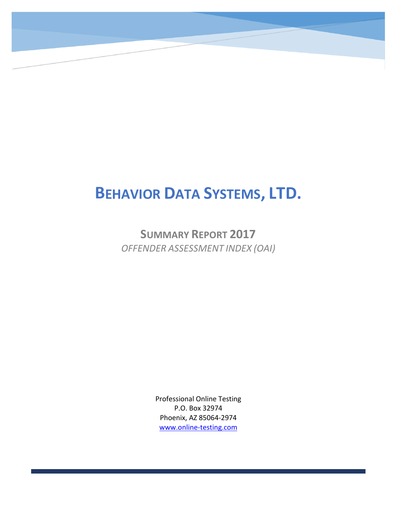# **BEHAVIOR DATA SYSTEMS, LTD.**

**BEHAVIOR DATA SYSTEMS, LTD.**

**SUMMARY REPORT 2017** *OFFENDER ASSESSMENT INDEX (OAI)*

> Professional Online Testing P.O. Box 32974 Phoenix, AZ 85064-2974 [www.online-testing.com](http://www.online-testing.com/)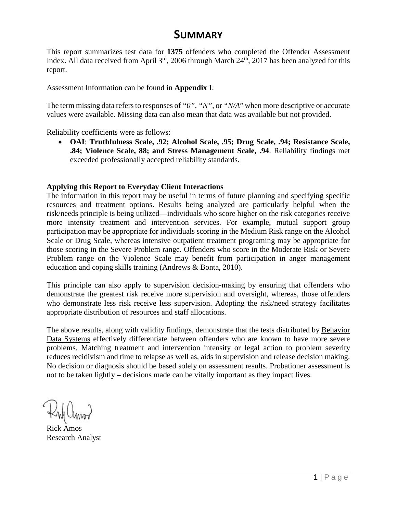### **SUMMARY**

This report summarizes test data for **1375** offenders who completed the Offender Assessment Index. All data received from April 3<sup>rd</sup>, 2006 through March 24<sup>th</sup>, 2017 has been analyzed for this report.

Assessment Information can be found in **Appendix I**.

The term missing data refers to responses of *"0", "N",* or *"N/A*" when more descriptive or accurate values were available. Missing data can also mean that data was available but not provided.

Reliability coefficients were as follows:

• **OAI**: **Truthfulness Scale, .92; Alcohol Scale, .95; Drug Scale, .94; Resistance Scale, .84; Violence Scale, 88; and Stress Management Scale, .94**. Reliability findings met exceeded professionally accepted reliability standards.

#### **Applying this Report to Everyday Client Interactions**

The information in this report may be useful in terms of future planning and specifying specific resources and treatment options. Results being analyzed are particularly helpful when the risk/needs principle is being utilized—individuals who score higher on the risk categories receive more intensity treatment and intervention services. For example, mutual support group participation may be appropriate for individuals scoring in the Medium Risk range on the Alcohol Scale or Drug Scale, whereas intensive outpatient treatment programing may be appropriate for those scoring in the Severe Problem range. Offenders who score in the Moderate Risk or Severe Problem range on the Violence Scale may benefit from participation in anger management education and coping skills training (Andrews & Bonta, 2010).

This principle can also apply to supervision decision-making by ensuring that offenders who demonstrate the greatest risk receive more supervision and oversight, whereas, those offenders who demonstrate less risk receive less supervision. Adopting the risk/need strategy facilitates appropriate distribution of resources and staff allocations.

The above results, along with validity findings, demonstrate that the tests distributed by Behavior Data Systems effectively differentiate between offenders who are known to have more severe problems. Matching treatment and intervention intensity or legal action to problem severity reduces recidivism and time to relapse as well as, aids in supervision and release decision making. No decision or diagnosis should be based solely on assessment results. Probationer assessment is not to be taken lightly **–** decisions made can be vitally important as they impact lives.

Rick Amos Research Analyst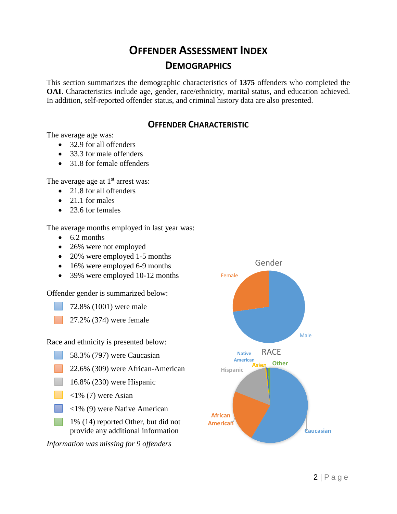## **OFFENDER ASSESSMENT INDEX DEMOGRAPHICS**

This section summarizes the demographic characteristics of **1375** offenders who completed the **OAI**. Characteristics include age, gender, race/ethnicity, marital status, and education achieved. In addition, self-reported offender status, and criminal history data are also presented.

### **OFFENDER CHARACTERISTIC**

The average age was:

- 32.9 for all offenders
- 33.3 for male offenders
- 31.8 for female offenders

The average age at  $1<sup>st</sup>$  arrest was:

- 21.8 for all offenders
- $\bullet$  21.1 for males
- 23.6 for females

The average months employed in last year was:

- $\bullet$  6.2 months
- 26% were not employed
- 20% were employed 1-5 months
- 16% were employed 6-9 months
- 39% were employed 10-12 months

Offender gender is summarized below:

- 72.8% (1001) were male
- 27.2% (374) were female

Race and ethnicity is presented below:

- 58.3% (797) were Caucasian
- 22.6% (309) were African-American
- 16.8% (230) were Hispanic
- $\langle 1\% (7)$  were Asian
- <1% (9) were Native American
- 1% (14) reported Other, but did not provide any additional information

*Information was missing for 9 offenders*

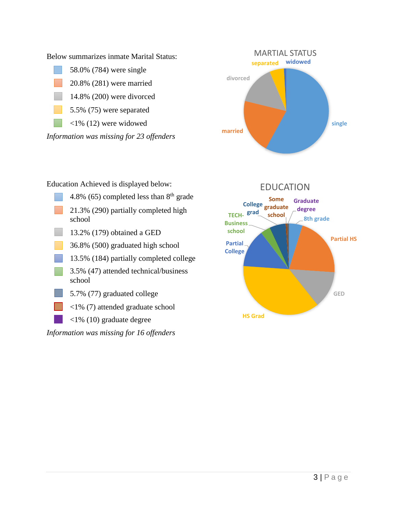Below summarizes inmate Marital Status:

- 58.0% (784) were single
- 20.8% (281) were married
	- 14.8% (200) were divorced
	- 5.5% (75) were separated
- $\langle 1\% (12)$  were widowed

*Information was missing for 23 offenders*



Education Achieved is displayed below:

- 4.8% (65) completed less than  $8<sup>th</sup>$  grade
- 21.3% (290) partially completed high school
- 13.2% (179) obtained a GED
- 36.8% (500) graduated high school
- 13.5% (184) partially completed college
- 3.5% (47) attended technical/business school
- 5.7% (77) graduated college
- <1% (7) attended graduate school
- <1% (10) graduate degree

*Information was missing for 16 offenders*

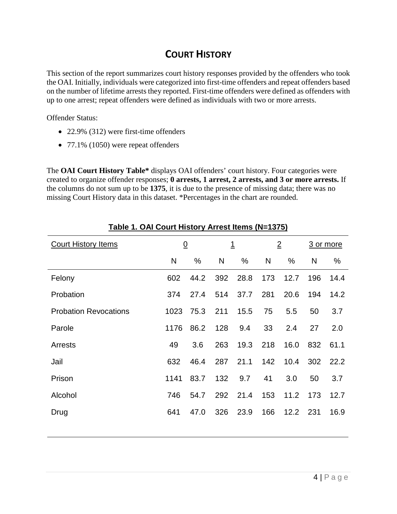### **COURT HISTORY**

This section of the report summarizes court history responses provided by the offenders who took the OAI. Initially, individuals were categorized into first-time offenders and repeat offenders based on the number of lifetime arrests they reported. First-time offenders were defined as offenders with up to one arrest; repeat offenders were defined as individuals with two or more arrests.

Offender Status:

- 22.9% (312) were first-time offenders
- 77.1% (1050) were repeat offenders

The **OAI Court History Table\*** displays OAI offenders' court history. Four categories were created to organize offender responses; **0 arrests, 1 arrest, 2 arrests, and 3 or more arrests.** If the columns do not sum up to be **1375**, it is due to the presence of missing data; there was no missing Court History data in this dataset. \*Percentages in the chart are rounded.

| <b>Court History Items</b>   | $\overline{0}$ |      | <u> 1</u> |      | $\overline{2}$ |      | 3 or more |      |
|------------------------------|----------------|------|-----------|------|----------------|------|-----------|------|
|                              | N              | $\%$ | N         | %    | N              | %    | N         | %    |
| Felony                       | 602            | 44.2 | 392       | 28.8 | 173            | 12.7 | 196       | 14.4 |
| Probation                    | 374            | 27.4 | 514       | 37.7 | 281            | 20.6 | 194       | 14.2 |
| <b>Probation Revocations</b> | 1023           | 75.3 | 211       | 15.5 | 75             | 5.5  | 50        | 3.7  |
| Parole                       | 1176           | 86.2 | 128       | 9.4  | 33             | 2.4  | 27        | 2.0  |
| <b>Arrests</b>               | 49             | 3.6  | 263       | 19.3 | 218            | 16.0 | 832       | 61.1 |
| Jail                         | 632            | 46.4 | 287       | 21.1 | 142            | 10.4 | 302       | 22.2 |
| Prison                       | 1141           | 83.7 | 132       | 9.7  | 41             | 3.0  | 50        | 3.7  |
| Alcohol                      | 746            | 54.7 | 292       | 21.4 | 153            | 11.2 | 173       | 12.7 |
| Drug                         | 641            | 47.0 | 326       | 23.9 | 166            | 12.2 | 231       | 16.9 |

### **Table 1. OAI Court History Arrest Items (N=1375)**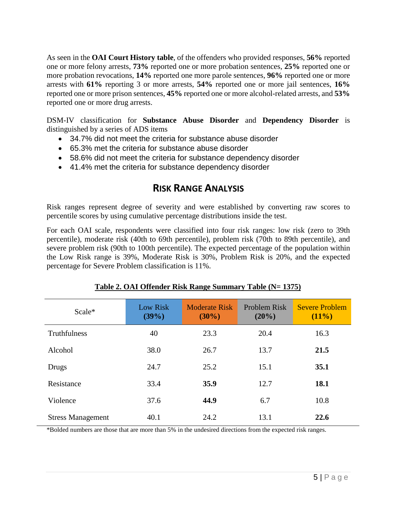As seen in the **OAI Court History table**, of the offenders who provided responses, **56%** reported one or more felony arrests, **73%** reported one or more probation sentences, **25%** reported one or more probation revocations, **14%** reported one more parole sentences, **96%** reported one or more arrests with **61%** reporting 3 or more arrests, **54%** reported one or more jail sentences, **16%** reported one or more prison sentences, **45%** reported one or more alcohol-related arrests, and **53%** reported one or more drug arrests.

DSM-IV classification for **Substance Abuse Disorder** and **Dependency Disorder** is distinguished by a series of ADS items

- 34.7% did not meet the criteria for substance abuse disorder
- 65.3% met the criteria for substance abuse disorder
- 58.6% did not meet the criteria for substance dependency disorder
- 41.4% met the criteria for substance dependency disorder

### **RISK RANGE ANALYSIS**

Risk ranges represent degree of severity and were established by converting raw scores to percentile scores by using cumulative percentage distributions inside the test.

For each OAI scale, respondents were classified into four risk ranges: low risk (zero to 39th percentile), moderate risk (40th to 69th percentile), problem risk (70th to 89th percentile), and severe problem risk (90th to 100th percentile). The expected percentage of the population within the Low Risk range is 39%, Moderate Risk is 30%, Problem Risk is 20%, and the expected percentage for Severe Problem classification is 11%.

| Scale*                   | <b>Low Risk</b><br>(39%) | <b>Moderate Risk</b><br>$(30\%)$ | <b>Problem Risk</b><br>$(20\%)$ | <b>Severe Problem</b><br>(11%) |
|--------------------------|--------------------------|----------------------------------|---------------------------------|--------------------------------|
| Truthfulness             | 40                       | 23.3                             | 20.4                            | 16.3                           |
| Alcohol                  | 38.0                     | 26.7                             | 13.7                            | 21.5                           |
| Drugs                    | 24.7                     | 25.2                             | 15.1                            | 35.1                           |
| Resistance               | 33.4                     | 35.9                             | 12.7                            | 18.1                           |
| Violence                 | 37.6                     | 44.9                             | 6.7                             | 10.8                           |
| <b>Stress Management</b> | 40.1                     | 24.2                             | 13.1                            | 22.6                           |

### **Table 2. OAI Offender Risk Range Summary Table (N= 1375)**

\*Bolded numbers are those that are more than 5% in the undesired directions from the expected risk ranges.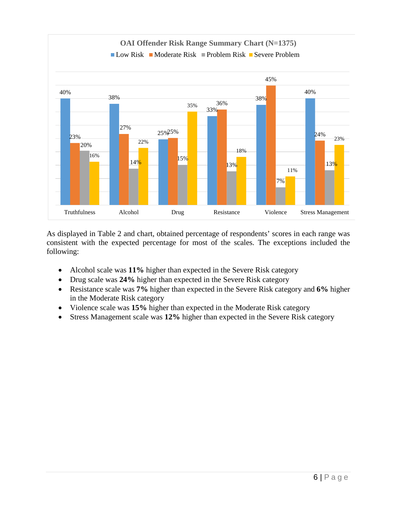

As displayed in Table 2 and chart, obtained percentage of respondents' scores in each range was consistent with the expected percentage for most of the scales. The exceptions included the following:

- Alcohol scale was 11% higher than expected in the Severe Risk category
- Drug scale was **24%** higher than expected in the Severe Risk category
- Resistance scale was **7%** higher than expected in the Severe Risk category and **6%** higher in the Moderate Risk category
- Violence scale was **15%** higher than expected in the Moderate Risk category
- Stress Management scale was **12%** higher than expected in the Severe Risk category